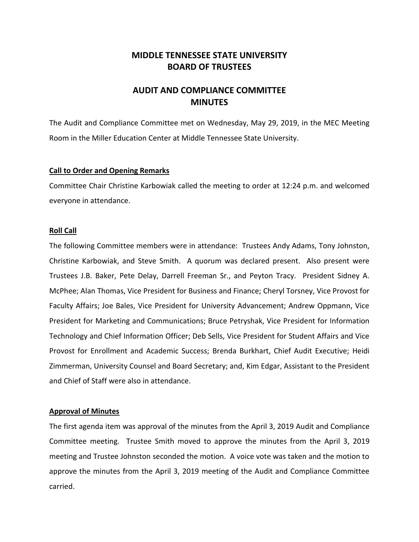## **MIDDLE TENNESSEE STATE UNIVERSITY BOARD OF TRUSTEES**

# **AUDIT AND COMPLIANCE COMMITTEE MINUTES**

The Audit and Compliance Committee met on Wednesday, May 29, 2019, in the MEC Meeting Room in the Miller Education Center at Middle Tennessee State University.

## **Call to Order and Opening Remarks**

Committee Chair Christine Karbowiak called the meeting to order at 12:24 p.m. and welcomed everyone in attendance.

## **Roll Call**

The following Committee members were in attendance: Trustees Andy Adams, Tony Johnston, Christine Karbowiak, and Steve Smith. A quorum was declared present. Also present were Trustees J.B. Baker, Pete Delay, Darrell Freeman Sr., and Peyton Tracy. President Sidney A. McPhee; Alan Thomas, Vice President for Business and Finance; Cheryl Torsney, Vice Provost for Faculty Affairs; Joe Bales, Vice President for University Advancement; Andrew Oppmann, Vice President for Marketing and Communications; Bruce Petryshak, Vice President for Information Technology and Chief Information Officer; Deb Sells, Vice President for Student Affairs and Vice Provost for Enrollment and Academic Success; Brenda Burkhart, Chief Audit Executive; Heidi Zimmerman, University Counsel and Board Secretary; and, Kim Edgar, Assistant to the President and Chief of Staff were also in attendance.

#### **Approval of Minutes**

The first agenda item was approval of the minutes from the April 3, 2019 Audit and Compliance Committee meeting. Trustee Smith moved to approve the minutes from the April 3, 2019 meeting and Trustee Johnston seconded the motion. A voice vote was taken and the motion to approve the minutes from the April 3, 2019 meeting of the Audit and Compliance Committee carried.